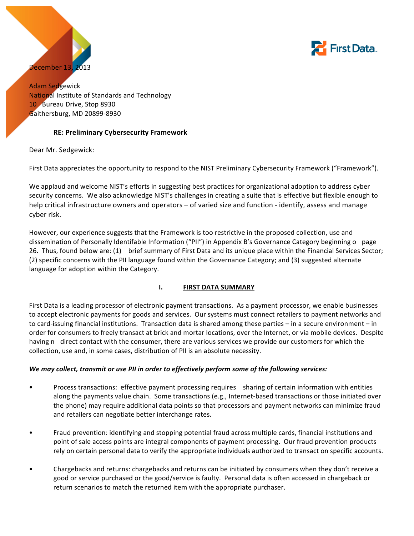



Adam Sedgewick **National Institute of Standards and Technology** 10 Bureau Drive, Stop 8930 Gaithersburg, MD 20899-8930

## **RE: Preliminary Cybersecurity Framework**

Dear Mr. Sedgewick:

First Data appreciates the opportunity to respond to the NIST Preliminary Cybersecurity Framework ("Framework").

We applaud and welcome NIST's efforts in suggesting best practices for organizational adoption to address cyber security concerns. We also acknowledge NIST's challenges in creating a suite that is effective but flexible enough to help critical infrastructure owners and operators – of varied size and function - identify, assess and manage cyber risk.

However, our experience suggests that the Framework is too restrictive in the proposed collection, use and dissemination of Personally Identifable Information ("PII") in Appendix B's Governance Category beginning o page 26. Thus, found below are: (1) brief summary of First Data and its unique place within the Financial Services Sector; (2) specific concerns with the PII language found within the Governance Category; and (3) suggested alternate language for adoption within the Category. 

## **I. FIRST DATA SUMMARY**

First Data is a leading processor of electronic payment transactions. As a payment processor, we enable businesses to accept electronic payments for goods and services. Our systems must connect retailers to payment networks and to card-issuing financial institutions. Transaction data is shared among these parties – in a secure environment – in order for consumers to freely transact at brick and mortar locations, over the Internet, or via mobile devices. Despite having n direct contact with the consumer, there are various services we provide our customers for which the collection, use and, in some cases, distribution of PII is an absolute necessity.

## *We may collect, transmit or use PII in order to effectively perform some of the following services:*

- Process transactions: effective payment processing requires sharing of certain information with entities along the payments value chain. Some transactions (e.g., Internet-based transactions or those initiated over the phone) may require additional data points so that processors and payment networks can minimize fraud and retailers can negotiate better interchange rates.
- Fraud prevention: identifying and stopping potential fraud across multiple cards, financial institutions and point of sale access points are integral components of payment processing. Our fraud prevention products rely on certain personal data to verify the appropriate individuals authorized to transact on specific accounts.
- Chargebacks and returns: chargebacks and returns can be initiated by consumers when they don't receive a good or service purchased or the good/service is faulty. Personal data is often accessed in chargeback or return scenarios to match the returned item with the appropriate purchaser.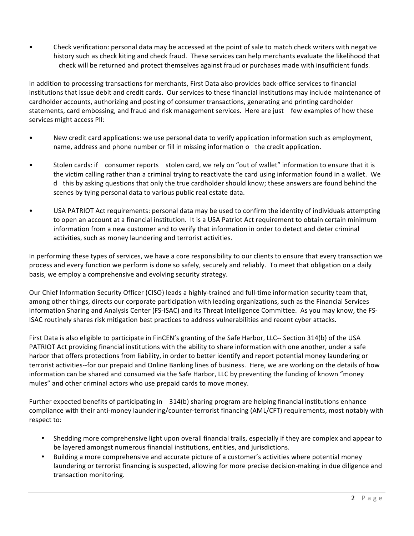• Check verification: personal data may be accessed at the point of sale to match check writers with negative history such as check kiting and check fraud. These services can help merchants evaluate the likelihood that check will be returned and protect themselves against fraud or purchases made with insufficient funds.

In addition to processing transactions for merchants, First Data also provides back-office services to financial institutions that issue debit and credit cards. Our services to these financial institutions may include maintenance of cardholder accounts, authorizing and posting of consumer transactions, generating and printing cardholder statements, card embossing, and fraud and risk management services. Here are just few examples of how these services might access PII:

- New credit card applications: we use personal data to verify application information such as employment, name, address and phone number or fill in missing information o the credit application.
- Stolen cards: if consumer reports stolen card, we rely on "out of wallet" information to ensure that it is the victim calling rather than a criminal trying to reactivate the card using information found in a wallet. We d this by asking questions that only the true cardholder should know; these answers are found behind the scenes by tying personal data to various public real estate data.
- USA PATRIOT Act requirements: personal data may be used to confirm the identity of individuals attempting to open an account at a financial institution. It is a USA Patriot Act requirement to obtain certain minimum information from a new customer and to verify that information in order to detect and deter criminal activities, such as money laundering and terrorist activities.

In performing these types of services, we have a core responsibility to our clients to ensure that every transaction we process and every function we perform is done so safely, securely and reliably. To meet that obligation on a daily basis, we employ a comprehensive and evolving security strategy.

Our Chief Information Security Officer (CISO) leads a highly-trained and full-time information security team that, among other things, directs our corporate participation with leading organizations, such as the Financial Services Information Sharing and Analysis Center (FS-ISAC) and its Threat Intelligence Committee. As you may know, the FS-ISAC routinely shares risk mitigation best practices to address vulnerabilities and recent cyber attacks.

First Data is also eligible to participate in FinCEN's granting of the Safe Harbor, LLC-- Section 314(b) of the USA PATRIOT Act providing financial institutions with the ability to share information with one another, under a safe harbor that offers protections from liability, in order to better identify and report potential money laundering or terrorist activities--for our prepaid and Online Banking lines of business. Here, we are working on the details of how information can be shared and consumed via the Safe Harbor, LLC by preventing the funding of known "money" mules" and other criminal actors who use prepaid cards to move money.

Further expected benefits of participating in 314(b) sharing program are helping financial institutions enhance compliance with their anti-money laundering/counter-terrorist financing (AML/CFT) requirements, most notably with respect to:

- Shedding more comprehensive light upon overall financial trails, especially if they are complex and appear to be layered amongst numerous financial institutions, entities, and jurisdictions.
- Building a more comprehensive and accurate picture of a customer's activities where potential money laundering or terrorist financing is suspected, allowing for more precise decision-making in due diligence and transaction monitoring.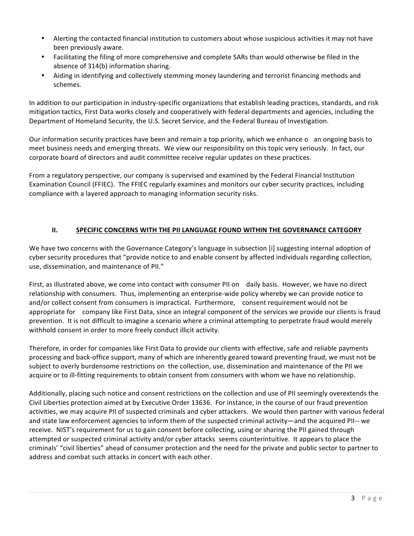- Alerting the contacted financial institution to customers about whose suspicious activities it may not have been previously aware.
- Facilitating the filing of more comprehensive and complete SARs than would otherwise be filed in the absence of 314(b) information sharing.
- Aiding in identifying and collectively stemming money laundering and terrorist financing methods and schemes.

In addition to our participation in industry-specific organizations that establish leading practices, standards, and risk mitigation tactics, First Data works closely and cooperatively with federal departments and agencies, including the Department of Homeland Security, the U.S. Secret Service, and the Federal Bureau of Investigation.

Our information security practices have been and remain a top priority, which we enhance o an ongoing basis to meet business needs and emerging threats. We view our responsibility on this topic very seriously. In fact, our corporate board of directors and audit committee receive regular updates on these practices.

From a regulatory perspective, our company is supervised and examined by the Federal Financial Institution Examination Council (FFIEC). The FFIEC regularly examines and monitors our cyber security practices, including compliance with a layered approach to managing information security risks.

# **II. SPECIFIC CONCERNS WITH THE PII LANGUAGE FOUND WITHIN THE GOVERNANCE CATEGORY**

We have two concerns with the Governance Category's language in subsection [i] suggesting internal adoption of cyber security procedures that "provide notice to and enable consent by affected individuals regarding collection, use, dissemination, and maintenance of PII."

First, as illustrated above, we come into contact with consumer PII on daily basis. However, we have no direct relationship with consumers. Thus, implementing an enterprise-wide policy whereby we can provide notice to and/or collect consent from consumers is impractical. Furthermore, consent requirement would not be appropriate for company like First Data, since an integral component of the services we provide our clients is fraud prevention. It is not difficult to imagine a scenario where a criminal attempting to perpetrate fraud would merely withhold consent in order to more freely conduct illicit activity.

Therefore, in order for companies like First Data to provide our clients with effective, safe and reliable payments processing and back-office support, many of which are inherently geared toward preventing fraud, we must not be subject to overly burdensome restrictions on the collection, use, dissemination and maintenance of the PII we acquire or to ill-fitting requirements to obtain consent from consumers with whom we have no relationship.

Additionally, placing such notice and consent restrictions on the collection and use of PII seemingly overextends the Civil Liberties protection aimed at by Executive Order 13636. For instance, in the course of our fraud prevention activities, we may acquire PII of suspected criminals and cyber attackers. We would then partner with various federal and state law enforcement agencies to inform them of the suspected criminal activity—and the acquired PII-- we receive. NIST's requirement for us to gain consent before collecting, using or sharing the PII gained through attempted or suspected criminal activity and/or cyber attacks seems counterintuitive. It appears to place the criminals' "civil liberties" ahead of consumer protection and the need for the private and public sector to partner to address and combat such attacks in concert with each other.